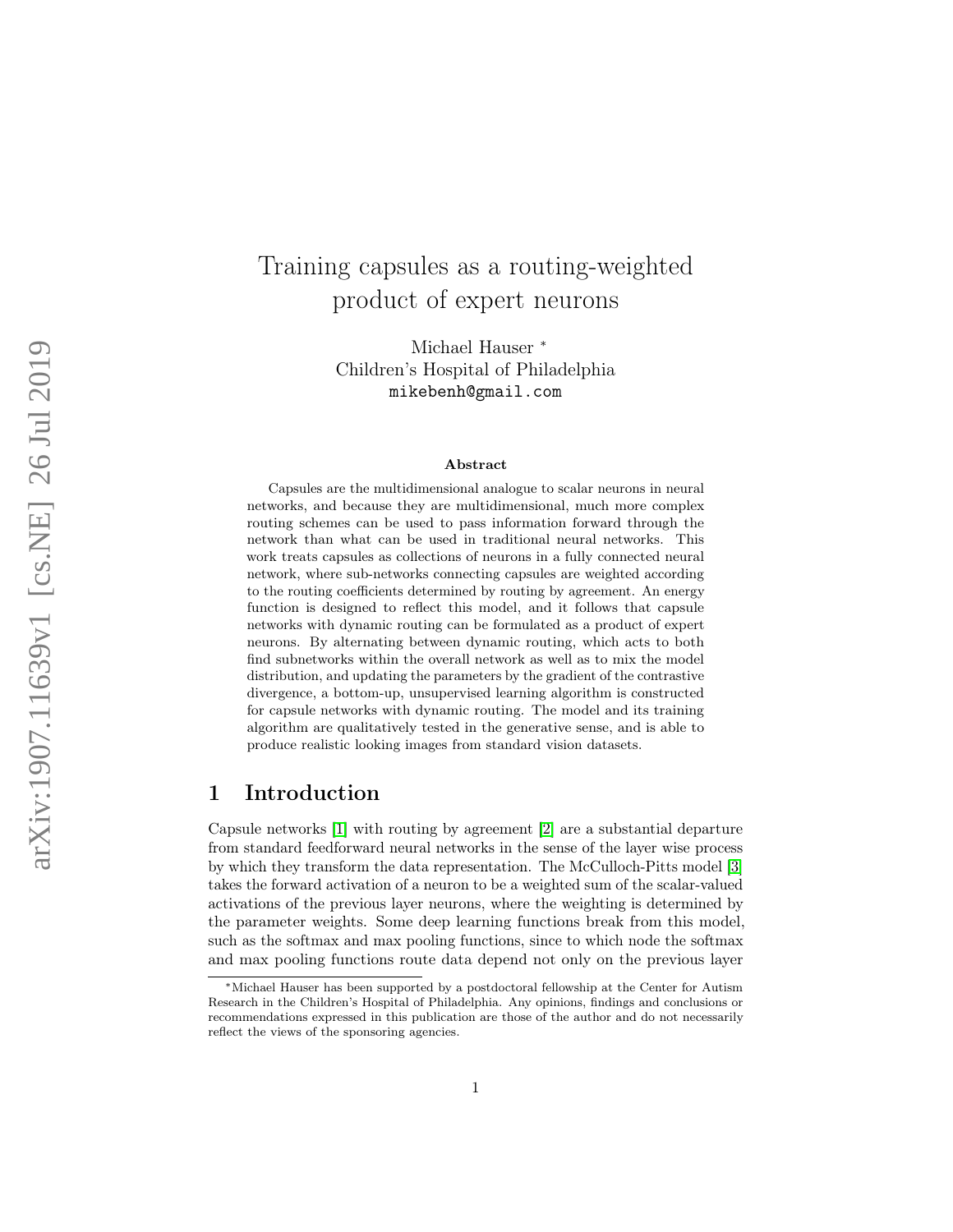# Training capsules as a routing-weighted product of expert neurons

Michael Hauser \* Children's Hospital of Philadelphia mikebenh@gmail.com

#### Abstract

Capsules are the multidimensional analogue to scalar neurons in neural networks, and because they are multidimensional, much more complex routing schemes can be used to pass information forward through the network than what can be used in traditional neural networks. This work treats capsules as collections of neurons in a fully connected neural network, where sub-networks connecting capsules are weighted according to the routing coefficients determined by routing by agreement. An energy function is designed to reflect this model, and it follows that capsule networks with dynamic routing can be formulated as a product of expert neurons. By alternating between dynamic routing, which acts to both find subnetworks within the overall network as well as to mix the model distribution, and updating the parameters by the gradient of the contrastive divergence, a bottom-up, unsupervised learning algorithm is constructed for capsule networks with dynamic routing. The model and its training algorithm are qualitatively tested in the generative sense, and is able to produce realistic looking images from standard vision datasets.

## 1 Introduction

Capsule networks [ [1\]](#page-11-0) with routing by agreement [ [2\]](#page-11-1) are a substantial departure from standard feedforward neural networks in the sense of the layer wise process by which they transform the data representation. The McCulloch-Pitts model [[3](#page-11-2)] takes the forward activation of a neuron to be a weighted sum of the scalar-valued activations of the previous layer neurons, where the weighting is determined by the parameter weights. Some deep learning functions break from this model, such as the softmax and max pooling functions, since to which node the softmax and max pooling functions route data depend not only on the previous layer

<sup>∗</sup>Michael Hauser has been supported by a postdoctoral fellowship at the Center for Autism Research in the Children's Hospital of Philadelphia. Any opinions, findings and conclusions or recommendations expressed in this publication are those of the author and do not necessarily reflect the views of the sponsoring agencies.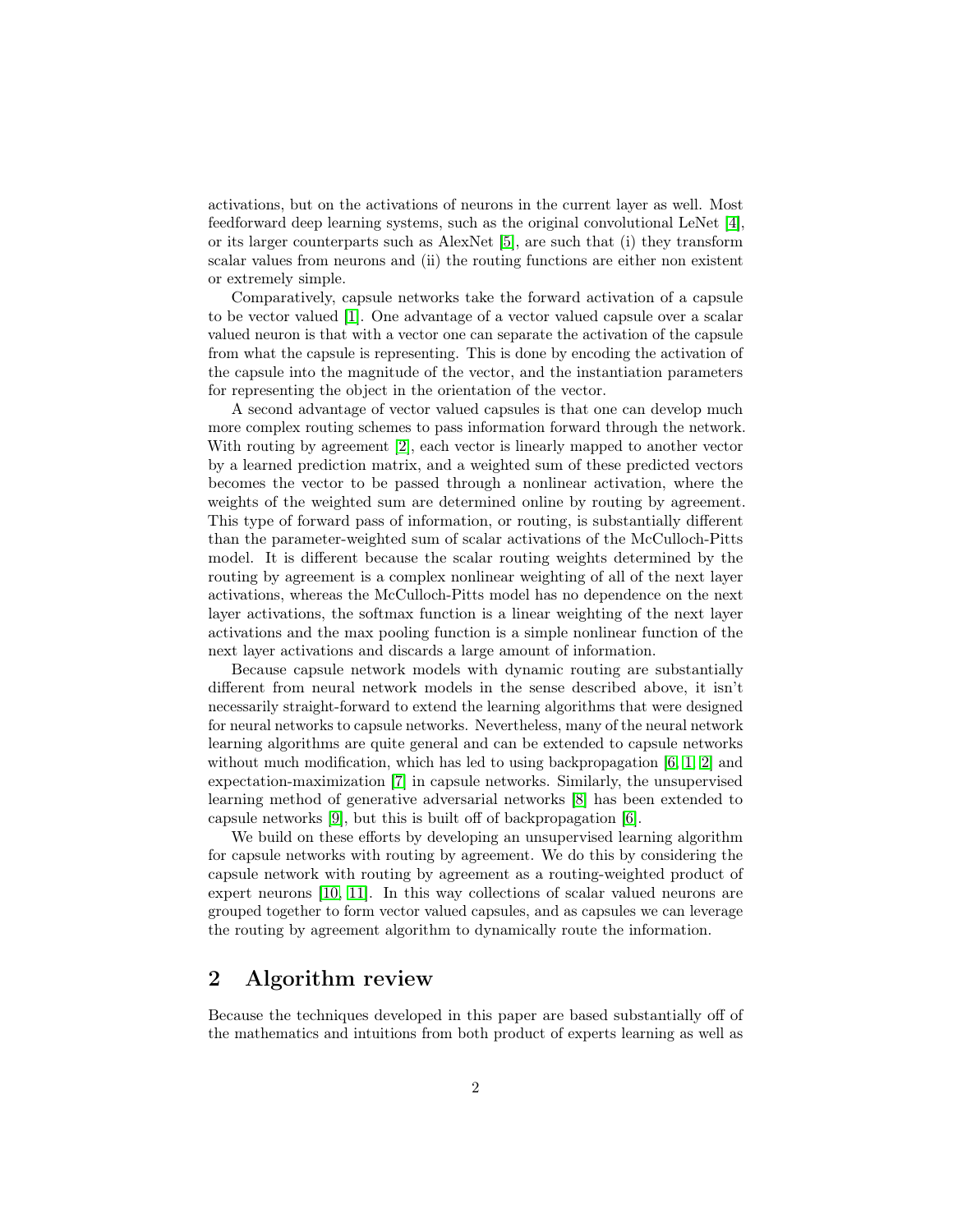activations, but on the activations of neurons in the current layer as well. Most feedforward deep learning systems, such as the original convolutional LeNet [\[4\]](#page-11-3), or its larger counterparts such as AlexNet [\[5\]](#page-11-4), are such that (i) they transform scalar values from neurons and (ii) the routing functions are either non existent or extremely simple.

Comparatively, capsule networks take the forward activation of a capsule to be vector valued [\[1\]](#page-11-0). One advantage of a vector valued capsule over a scalar valued neuron is that with a vector one can separate the activation of the capsule from what the capsule is representing. This is done by encoding the activation of the capsule into the magnitude of the vector, and the instantiation parameters for representing the object in the orientation of the vector.

A second advantage of vector valued capsules is that one can develop much more complex routing schemes to pass information forward through the network. With routing by agreement [\[2\]](#page-11-1), each vector is linearly mapped to another vector by a learned prediction matrix, and a weighted sum of these predicted vectors becomes the vector to be passed through a nonlinear activation, where the weights of the weighted sum are determined online by routing by agreement. This type of forward pass of information, or routing, is substantially different than the parameter-weighted sum of scalar activations of the McCulloch-Pitts model. It is different because the scalar routing weights determined by the routing by agreement is a complex nonlinear weighting of all of the next layer activations, whereas the McCulloch-Pitts model has no dependence on the next layer activations, the softmax function is a linear weighting of the next layer activations and the max pooling function is a simple nonlinear function of the next layer activations and discards a large amount of information.

Because capsule network models with dynamic routing are substantially different from neural network models in the sense described above, it isn't necessarily straight-forward to extend the learning algorithms that were designed for neural networks to capsule networks. Nevertheless, many of the neural network learning algorithms are quite general and can be extended to capsule networks without much modification, which has led to using backpropagation [\[6,](#page-11-5) [1,](#page-11-0) [2\]](#page-11-1) and expectation-maximization [\[7\]](#page-11-6) in capsule networks. Similarly, the unsupervised learning method of generative adversarial networks [\[8\]](#page-11-7) has been extended to capsule networks [\[9\]](#page-11-8), but this is built off of backpropagation [\[6\]](#page-11-5).

We build on these efforts by developing an unsupervised learning algorithm for capsule networks with routing by agreement. We do this by considering the capsule network with routing by agreement as a routing-weighted product of expert neurons [\[10,](#page-11-9) [11\]](#page-11-10). In this way collections of scalar valued neurons are grouped together to form vector valued capsules, and as capsules we can leverage the routing by agreement algorithm to dynamically route the information.

## 2 Algorithm review

Because the techniques developed in this paper are based substantially off of the mathematics and intuitions from both product of experts learning as well as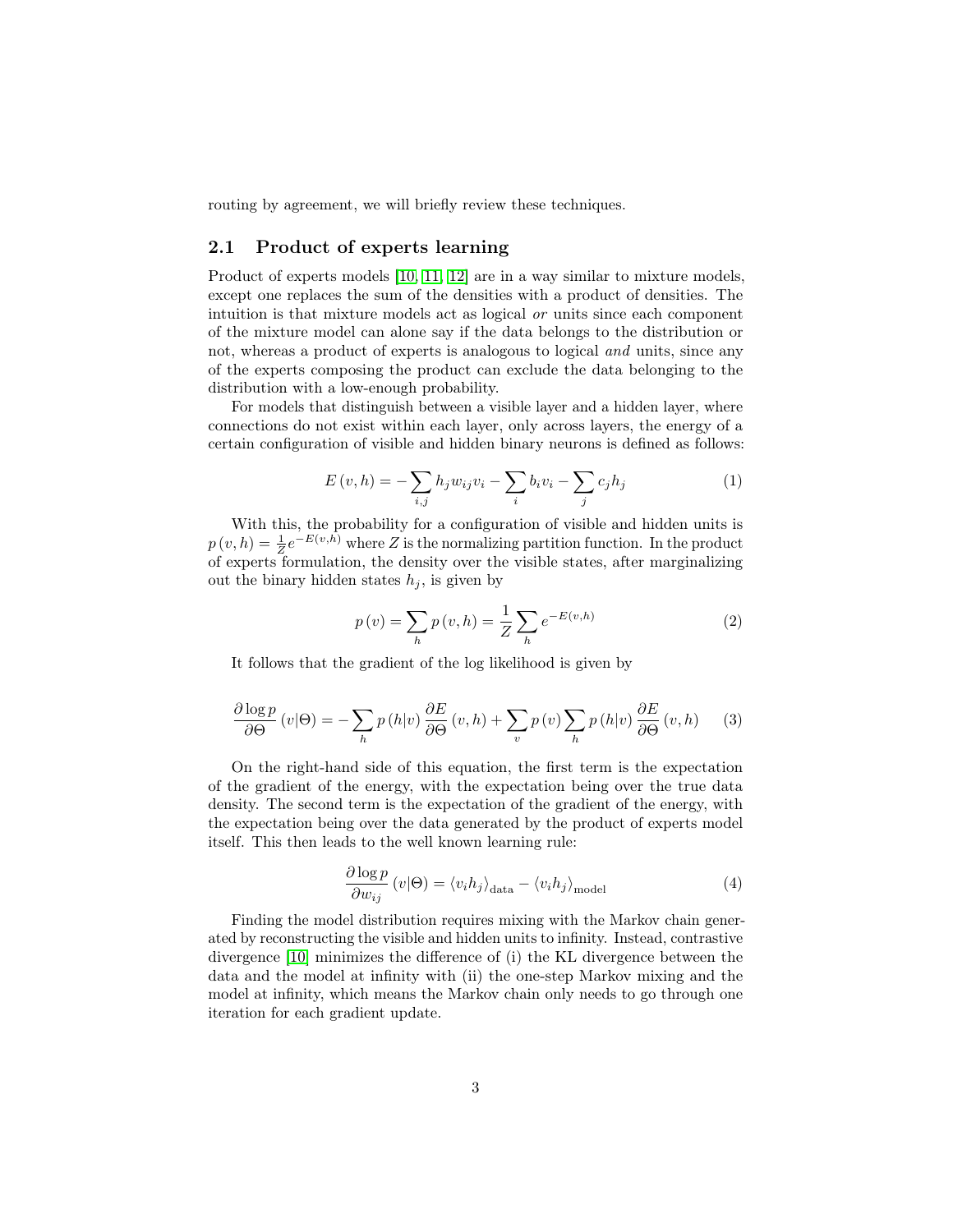routing by agreement, we will briefly review these techniques.

### 2.1 Product of experts learning

Product of experts models [\[10,](#page-11-9) [11,](#page-11-10) [12\]](#page-11-11) are in a way similar to mixture models, except one replaces the sum of the densities with a product of densities. The intuition is that mixture models act as logical or units since each component of the mixture model can alone say if the data belongs to the distribution or not, whereas a product of experts is analogous to logical and units, since any of the experts composing the product can exclude the data belonging to the distribution with a low-enough probability.

For models that distinguish between a visible layer and a hidden layer, where connections do not exist within each layer, only across layers, the energy of a certain configuration of visible and hidden binary neurons is defined as follows:

$$
E(v, h) = -\sum_{i,j} h_j w_{ij} v_i - \sum_i b_i v_i - \sum_j c_j h_j
$$
 (1)

With this, the probability for a configuration of visible and hidden units is  $p(v, h) = \frac{1}{Z} e^{-E(v, h)}$  where Z is the normalizing partition function. In the product of experts formulation, the density over the visible states, after marginalizing out the binary hidden states  $h_j$ , is given by

$$
p(v) = \sum_{h} p(v, h) = \frac{1}{Z} \sum_{h} e^{-E(v, h)}
$$
 (2)

It follows that the gradient of the log likelihood is given by

$$
\frac{\partial \log p}{\partial \Theta} (v|\Theta) = -\sum_{h} p(h|v) \frac{\partial E}{\partial \Theta} (v, h) + \sum_{v} p(v) \sum_{h} p(h|v) \frac{\partial E}{\partial \Theta} (v, h) \tag{3}
$$

On the right-hand side of this equation, the first term is the expectation of the gradient of the energy, with the expectation being over the true data density. The second term is the expectation of the gradient of the energy, with the expectation being over the data generated by the product of experts model itself. This then leads to the well known learning rule:

$$
\frac{\partial \log p}{\partial w_{ij}}\left(v|\Theta\right) = \langle v_i h_j \rangle_{\text{data}} - \langle v_i h_j \rangle_{\text{model}}
$$
\n(4)

Finding the model distribution requires mixing with the Markov chain generated by reconstructing the visible and hidden units to infinity. Instead, contrastive divergence [\[10\]](#page-11-9) minimizes the difference of (i) the KL divergence between the data and the model at infinity with (ii) the one-step Markov mixing and the model at infinity, which means the Markov chain only needs to go through one iteration for each gradient update.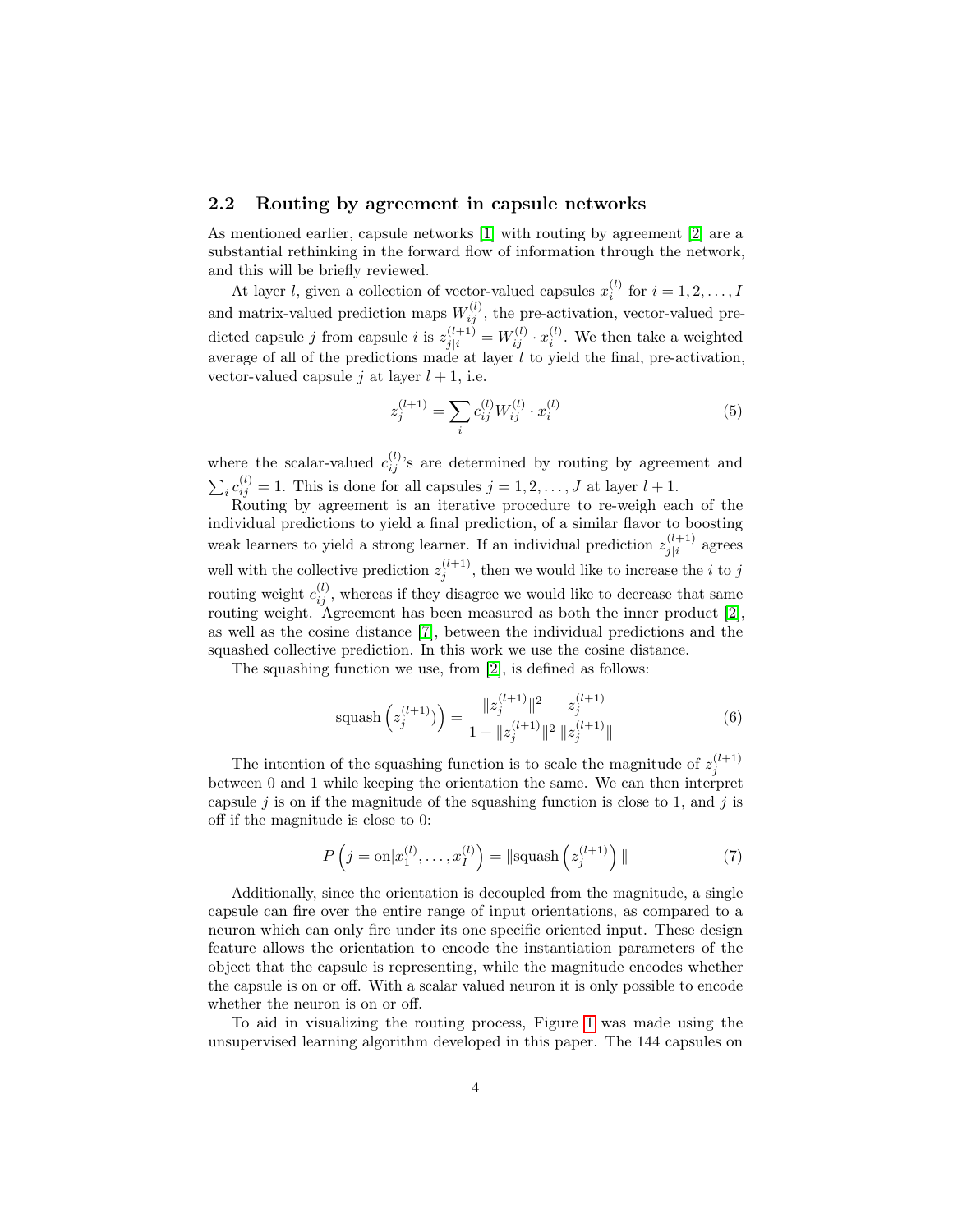#### 2.2 Routing by agreement in capsule networks

As mentioned earlier, capsule networks [\[1\]](#page-11-0) with routing by agreement [\[2\]](#page-11-1) are a substantial rethinking in the forward flow of information through the network, and this will be briefly reviewed.

At layer *l*, given a collection of vector-valued capsules  $x_i^{(l)}$  for  $i = 1, 2, ..., I$ and matrix-valued prediction maps  $W_{ij}^{(l)}$ , the pre-activation, vector-valued predicted capsule j from capsule i is  $z_{j|i}^{(l+1)} = W_{ij}^{(l)} \cdot x_i^{(l)}$ . We then take a weighted average of all of the predictions made at layer  $l$  to yield the final, pre-activation, vector-valued capsule j at layer  $l + 1$ , i.e.

$$
z_j^{(l+1)} = \sum_i c_{ij}^{(l)} W_{ij}^{(l)} \cdot x_i^{(l)}
$$
(5)

where the scalar-valued  $c_{ij}^{(l)}$ 's are determined by routing by agreement and  $\sum_i c_{ij}^{(l)} = 1$ . This is done for all capsules  $j = 1, 2, ..., J$  at layer  $l + 1$ .

Routing by agreement is an iterative procedure to re-weigh each of the individual predictions to yield a final prediction, of a similar flavor to boosting weak learners to yield a strong learner. If an individual prediction  $z_{i|i}^{(l+1)}$  $j|i}^{(i+1)}$  agrees well with the collective prediction  $z_j^{(l+1)}$ , then we would like to increase the *i* to *j* routing weight  $c_{ij}^{(l)}$ , whereas if they disagree we would like to decrease that same routing weight. Agreement has been measured as both the inner product [\[2\]](#page-11-1), as well as the cosine distance [\[7\]](#page-11-6), between the individual predictions and the squashed collective prediction. In this work we use the cosine distance.

The squashing function we use, from [\[2\]](#page-11-1), is defined as follows:

$$
\text{squash}\left(z_j^{(l+1)}\right) = \frac{\|z_j^{(l+1)}\|^2}{1 + \|z_j^{(l+1)}\|^2} \frac{z_j^{(l+1)}}{\|z_j^{(l+1)}\|} \tag{6}
$$

The intention of the squashing function is to scale the magnitude of  $z_j^{(l+1)}$ between 0 and 1 while keeping the orientation the same. We can then interpret capsule j is on if the magnitude of the squashing function is close to 1, and j is off if the magnitude is close to 0:

$$
P\left(j=\text{on}|x_1^{(l)},\ldots,x_I^{(l)}\right) = \|\text{squash}\left(z_j^{(l+1)}\right)\|
$$
\n<sup>(7)</sup>

Additionally, since the orientation is decoupled from the magnitude, a single capsule can fire over the entire range of input orientations, as compared to a neuron which can only fire under its one specific oriented input. These design feature allows the orientation to encode the instantiation parameters of the object that the capsule is representing, while the magnitude encodes whether the capsule is on or off. With a scalar valued neuron it is only possible to encode whether the neuron is on or off.

To aid in visualizing the routing process, Figure [1](#page-4-0) was made using the unsupervised learning algorithm developed in this paper. The 144 capsules on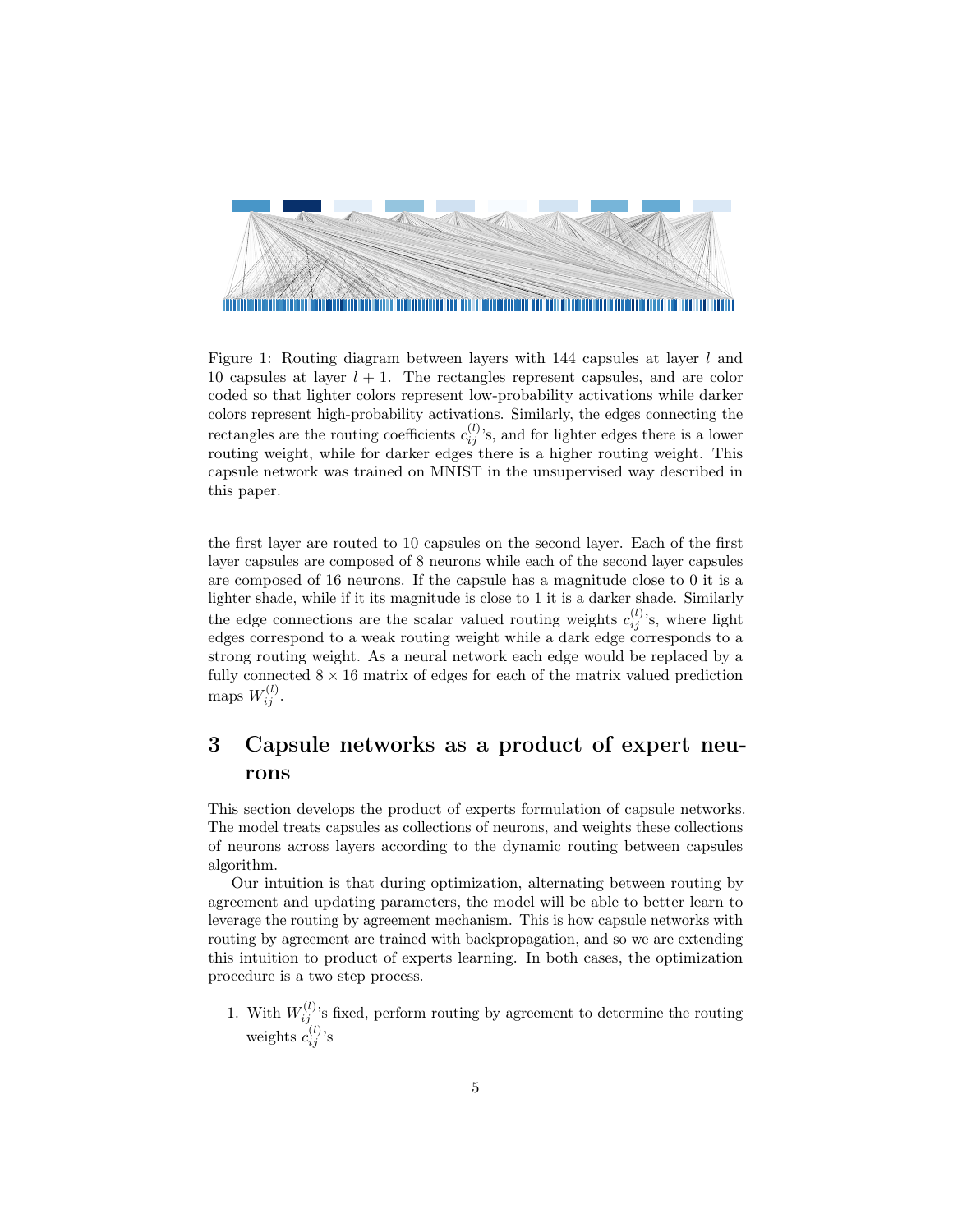<span id="page-4-0"></span>

Figure 1: Routing diagram between layers with 144 capsules at layer  $l$  and 10 capsules at layer  $l + 1$ . The rectangles represent capsules, and are color coded so that lighter colors represent low-probability activations while darker colors represent high-probability activations. Similarly, the edges connecting the rectangles are the routing coefficients  $c_{ij}^{(l)}$ 's, and for lighter edges there is a lower routing weight, while for darker edges there is a higher routing weight. This capsule network was trained on MNIST in the unsupervised way described in this paper.

the first layer are routed to 10 capsules on the second layer. Each of the first layer capsules are composed of 8 neurons while each of the second layer capsules are composed of 16 neurons. If the capsule has a magnitude close to 0 it is a lighter shade, while if it its magnitude is close to 1 it is a darker shade. Similarly the edge connections are the scalar valued routing weights  $c_{ij}^{(l)}$ 's, where light edges correspond to a weak routing weight while a dark edge corresponds to a strong routing weight. As a neural network each edge would be replaced by a fully connected  $8 \times 16$  matrix of edges for each of the matrix valued prediction maps  $W_{ij}^{(l)}$ .

## 3 Capsule networks as a product of expert neurons

This section develops the product of experts formulation of capsule networks. The model treats capsules as collections of neurons, and weights these collections of neurons across layers according to the dynamic routing between capsules algorithm.

Our intuition is that during optimization, alternating between routing by agreement and updating parameters, the model will be able to better learn to leverage the routing by agreement mechanism. This is how capsule networks with routing by agreement are trained with backpropagation, and so we are extending this intuition to product of experts learning. In both cases, the optimization procedure is a two step process.

1. With  $W_{ij}^{(l)}$ 's fixed, perform routing by agreement to determine the routing weights  $c_{ij}^{(l)}$ 's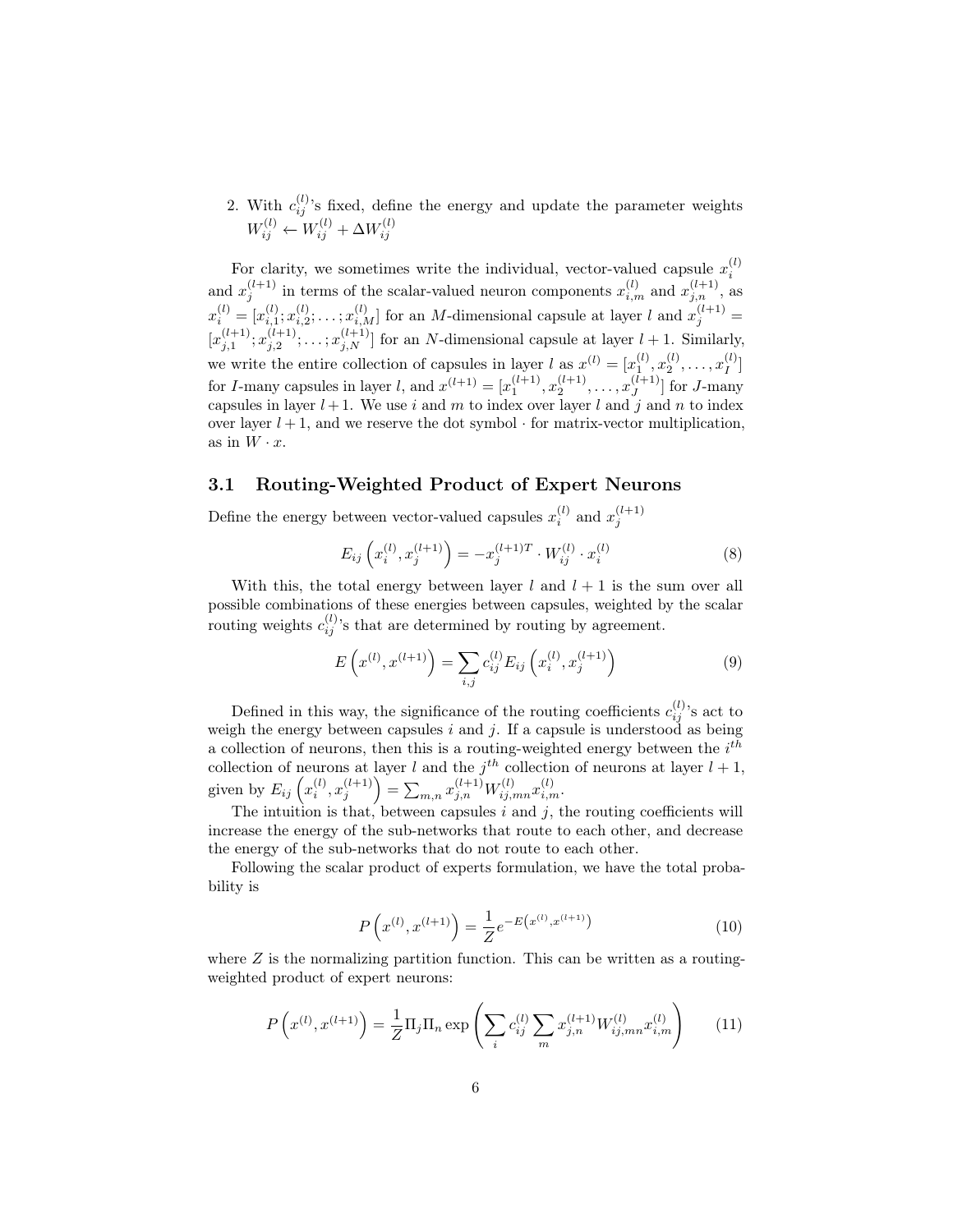2. With  $c_{ij}^{(l)}$ 's fixed, define the energy and update the parameter weights  $W_{ij}^{(l)} \leftarrow W_{ij}^{(l)} + \Delta W_{ij}^{(l)}$ 

For clarity, we sometimes write the individual, vector-valued capsule  $x_i^{(l)}$ i and  $x_j^{(l+1)}$  in terms of the scalar-valued neuron components  $x_{i,m}^{(l)}$  and  $x_{j,n}^{(l+1)}$ , as  $x_i^{(l)} = [x_{i,1}^{(l)}; x_{i,2}^{(l)}; \ldots; x_{i,M}^{(l)}]$  for an *M*-dimensional capsule at layer *l* and  $x_j^{(l+1)}$  =  $[x_{j,1}^{(l+1)};x_{j,2}^{(l+1)};\ldots;x_{j,N}^{(l+1)}]$  for an N-dimensional capsule at layer  $l+1$ . Similarly, we write the entire collection of capsules in layer l as  $x^{(l)} = [x_1^{(l)}, x_2^{(l)}, \dots, x_I^{(l)}]$  $\binom{l}{I}$ for *I*-many capsules in layer *l*, and  $x^{(l+1)} = [x_1^{(l+1)}, x_2^{(l+1)}, \dots, x_J^{(l+1)}]$  $\left[\begin{smallmatrix} 1 & +1 \\ J & \end{smallmatrix}\right]$  for J-many capsules in layer  $l + 1$ . We use i and m to index over layer l and j and n to index over layer  $l + 1$ , and we reserve the dot symbol  $\cdot$  for matrix-vector multiplication, as in  $W \cdot x$ .

#### <span id="page-5-1"></span>3.1 Routing-Weighted Product of Expert Neurons

Define the energy between vector-valued capsules  $x_i^{(l)}$  and  $x_j^{(l+1)}$ 

$$
E_{ij}\left(x_i^{(l)}, x_j^{(l+1)}\right) = -x_j^{(l+1)T} \cdot W_{ij}^{(l)} \cdot x_i^{(l)} \tag{8}
$$

With this, the total energy between layer l and  $l + 1$  is the sum over all possible combinations of these energies between capsules, weighted by the scalar routing weights  $c_{ij}^{(l)}$ 's that are determined by routing by agreement.

$$
E\left(x^{(l)}, x^{(l+1)}\right) = \sum_{i,j} c_{ij}^{(l)} E_{ij} \left(x_i^{(l)}, x_j^{(l+1)}\right)
$$
(9)

Defined in this way, the significance of the routing coefficients  $c_{ij}^{(l)}$ 's act to weigh the energy between capsules  $i$  and  $j$ . If a capsule is understood as being a collection of neurons, then this is a routing-weighted energy between the  $i^{th}$ collection of neurons at layer l and the  $j<sup>th</sup>$  collection of neurons at layer  $l + 1$ , given by  $E_{ij}\left(x_i^{(l)}, x_j^{(l+1)}\right) = \sum_{m,n} x_{j,n}^{(l+1)} W_{ij,mn}^{(l)} x_{i,m}^{(l)}$ .

The intuition is that, between capsules  $i$  and  $j$ , the routing coefficients will increase the energy of the sub-networks that route to each other, and decrease the energy of the sub-networks that do not route to each other.

Following the scalar product of experts formulation, we have the total probability is

$$
P\left(x^{(l)}, x^{(l+1)}\right) = \frac{1}{Z}e^{-E\left(x^{(l)}, x^{(l+1)}\right)}\tag{10}
$$

<span id="page-5-0"></span>where  $Z$  is the normalizing partition function. This can be written as a routingweighted product of expert neurons:

$$
P\left(x^{(l)}, x^{(l+1)}\right) = \frac{1}{Z} \Pi_j \Pi_n \exp\left(\sum_i c_{ij}^{(l)} \sum_m x_{j,n}^{(l+1)} W_{ij,mn}^{(l)} x_{i,m}^{(l)}\right) \tag{11}
$$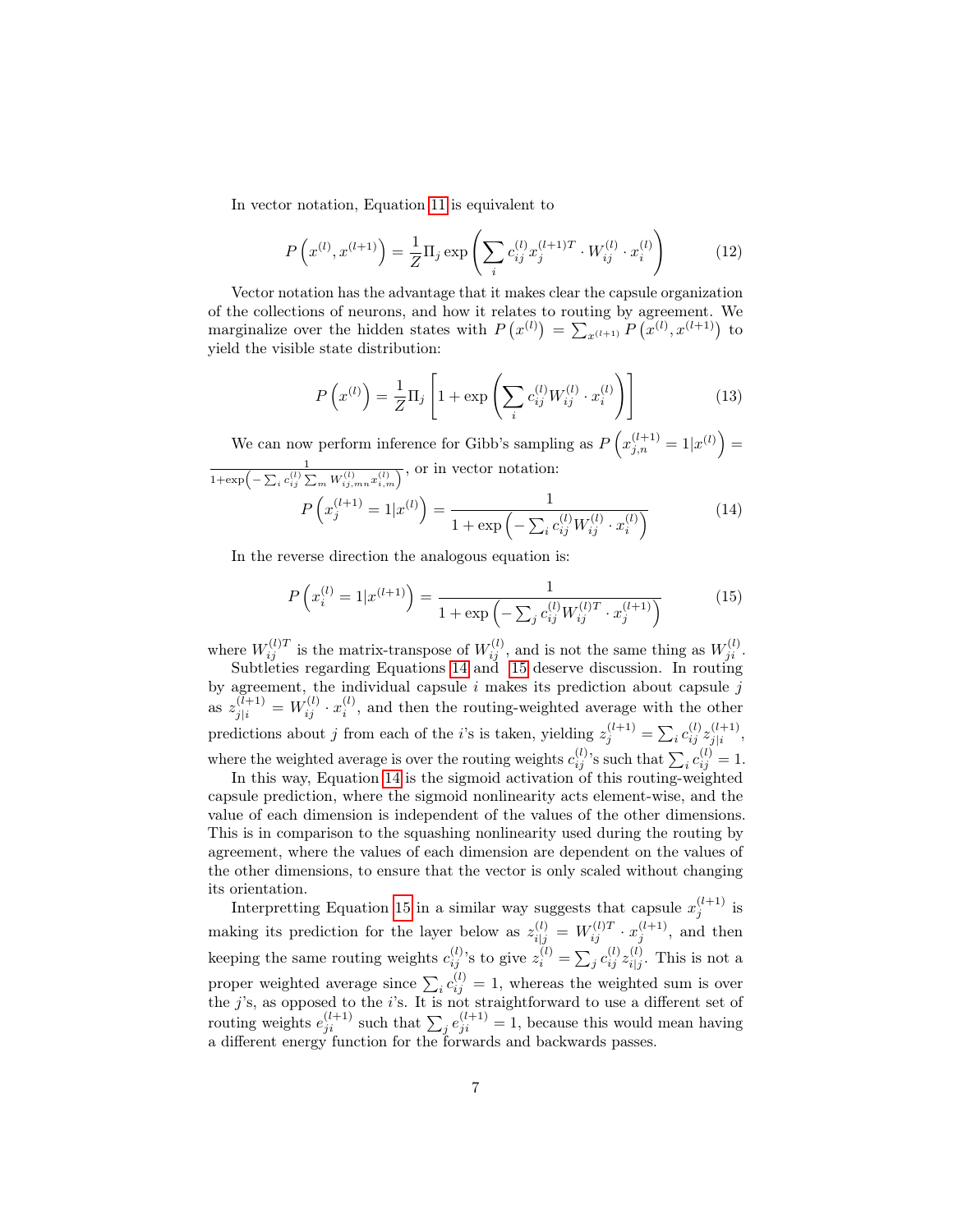In vector notation, Equation [11](#page-5-0) is equivalent to

$$
P\left(x^{(l)}, x^{(l+1)}\right) = \frac{1}{Z} \Pi_j \exp\left(\sum_i c_{ij}^{(l)} x_j^{(l+1)T} \cdot W_{ij}^{(l)} \cdot x_i^{(l)}\right) \tag{12}
$$

Vector notation has the advantage that it makes clear the capsule organization of the collections of neurons, and how it relates to routing by agreement. We marginalize over the hidden states with  $P(x^{(l)}) = \sum_{x^{(l+1)}} P(x^{(l)}, x^{(l+1)})$  to yield the visible state distribution:

$$
P\left(x^{(l)}\right) = \frac{1}{Z}\Pi_j \left[1 + \exp\left(\sum_i c_{ij}^{(l)} W_{ij}^{(l)} \cdot x_i^{(l)}\right)\right]
$$
(13)

<span id="page-6-0"></span>We can now perform inference for Gibb's sampling as  $P\left(x_{j,n}^{(l+1)}=1|x^{(l)}\right)=$  $\frac{1}{1+\exp\left(-\sum_i c_{ij}^{(l)}\sum_m W_{ij,mn}^{(l)}x_{i,m}^{(l)}\right)}$ , or in vector notation:  $\sqrt{ }$  $(l+1)$ (l)  $\setminus$ 1

$$
P\left(x_j^{(l+1)} = 1|x^{(l)}\right) = \frac{1}{1 + \exp\left(-\sum_i c_{ij}^{(l)} W_{ij}^{(l)} \cdot x_i^{(l)}\right)}
$$
(14)

<span id="page-6-1"></span>In the reverse direction the analogous equation is:

$$
P\left(x_i^{(l)} = 1|x^{(l+1)}\right) = \frac{1}{1 + \exp\left(-\sum_j c_{ij}^{(l)} W_{ij}^{(l)T} \cdot x_j^{(l+1)}\right)}
$$
(15)

where  $W_{ij}^{(l)T}$  is the matrix-transpose of  $W_{ij}^{(l)}$ , and is not the same thing as  $W_{ji}^{(l)}$ . Subtleties regarding Equations [14](#page-6-0) and [15](#page-6-1) deserve discussion. In routing by agreement, the individual capsule  $i$  makes its prediction about capsule  $j$ as  $z_{j|i}^{(l+1)} = W_{ij}^{(l)} \cdot x_i^{(l)}$ , and then the routing-weighted average with the other predictions about j from each of the *i*'s is taken, yielding  $z_j^{(l+1)} = \sum_i c_{ij}^{(l)} z_{j|i}^{(l+1)}$  $\frac{(i+1)}{j|i},$ where the weighted average is over the routing weights  $c_{ij}^{(l)}$ 's such that  $\sum_i c_{ij}^{(l)} = 1$ .

In this way, Equation [14](#page-6-0) is the sigmoid activation of this routing-weighted capsule prediction, where the sigmoid nonlinearity acts element-wise, and the value of each dimension is independent of the values of the other dimensions. This is in comparison to the squashing nonlinearity used during the routing by agreement, where the values of each dimension are dependent on the values of the other dimensions, to ensure that the vector is only scaled without changing its orientation.

Interpretting Equation [15](#page-6-1) in a similar way suggests that capsule  $x_i^{(l+1)}$  is j making its prediction for the layer below as  $z_{i|j}^{(l)} = W_{ij}^{(l)T} \cdot x_j^{(l+1)}$ , and then keeping the same routing weights  $c_{ij}^{(l)}$ 's to give  $z_i^{(l)} = \sum_j c_{ij}^{(l)} z_{i|j}^{(l)}$  $i_{j}^{(i)}$ . This is not a proper weighted average since  $\sum_i c_{ij}^{(l)} = 1$ , whereas the weighted sum is over the  $j$ 's, as opposed to the  $i$ 's. It is not straightforward to use a different set of routing weights  $e_{ji}^{(l+1)}$  such that  $\sum_j e_{ji}^{(l+1)} = 1$ , because this would mean having a different energy function for the forwards and backwards passes.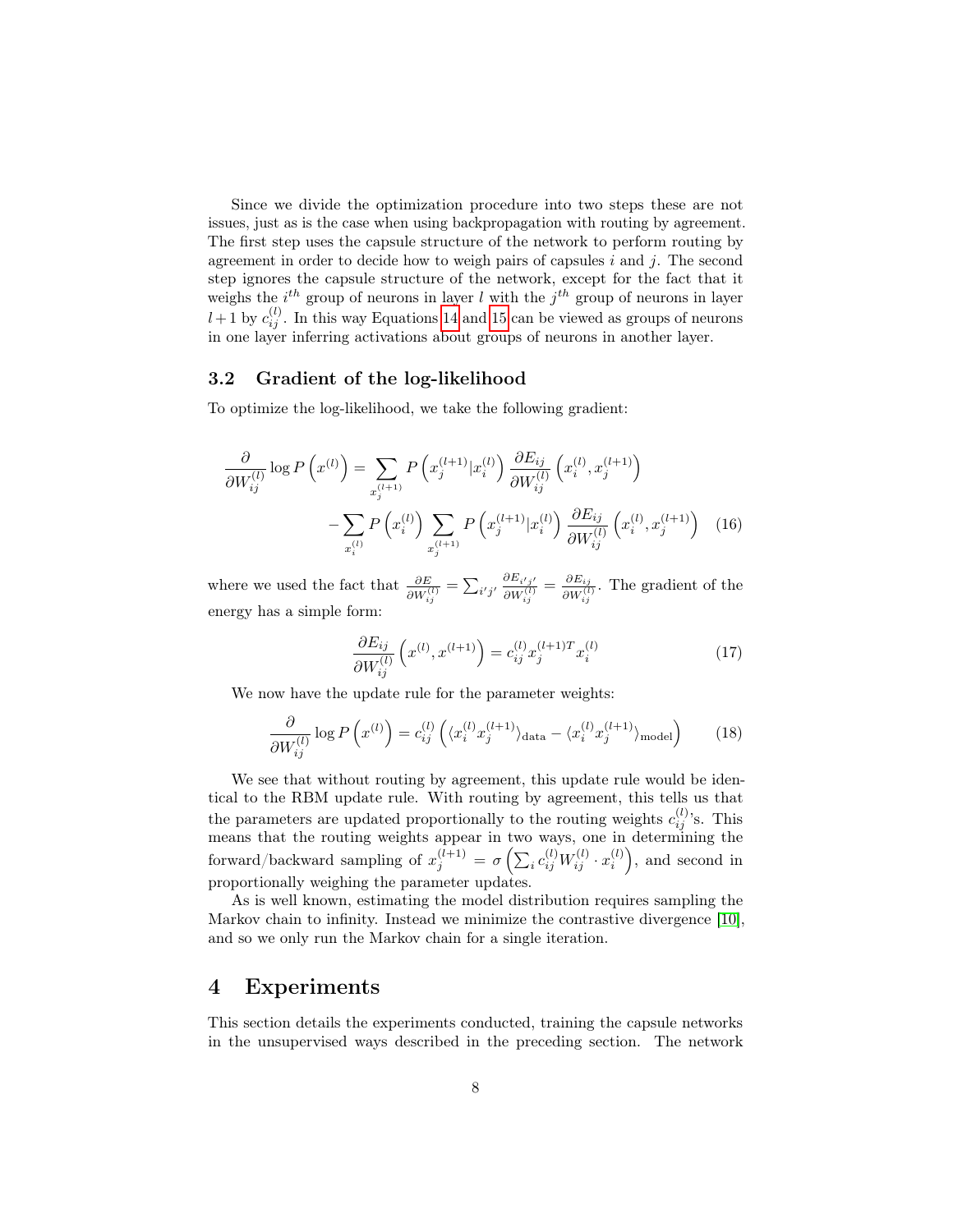Since we divide the optimization procedure into two steps these are not issues, just as is the case when using backpropagation with routing by agreement. The first step uses the capsule structure of the network to perform routing by agreement in order to decide how to weigh pairs of capsules  $i$  and  $j$ . The second step ignores the capsule structure of the network, except for the fact that it weighs the  $i^{th}$  group of neurons in layer l with the  $j^{th}$  group of neurons in layer  $l+1$  by  $c_{ij}^{(l)}$ . In this way Equations [14](#page-6-0) and [15](#page-6-1) can be viewed as groups of neurons in one layer inferring activations about groups of neurons in another layer.

#### 3.2 Gradient of the log-likelihood

To optimize the log-likelihood, we take the following gradient:

$$
\frac{\partial}{\partial W_{ij}^{(l)}} \log P\left(x^{(l)}\right) = \sum_{x_j^{(l+1)}} P\left(x_j^{(l+1)} | x_i^{(l)}\right) \frac{\partial E_{ij}}{\partial W_{ij}^{(l)}} \left(x_i^{(l)}, x_j^{(l+1)}\right) \n- \sum_{x_i^{(l)}} P\left(x_i^{(l)}\right) \sum_{x_j^{(l+1)}} P\left(x_j^{(l+1)} | x_i^{(l)}\right) \frac{\partial E_{ij}}{\partial W_{ij}^{(l)}} \left(x_i^{(l)}, x_j^{(l+1)}\right) \tag{16}
$$

where we used the fact that  $\frac{\partial E}{\partial W_{ij}^{(l)}} = \sum_{i'j'} \frac{\partial E_{i'j'}}{\partial W_{ij}^{(l)}} = \frac{\partial E_{ij}}{\partial W_{ij}^{(l)}}$  $\frac{\partial E_{ij}}{\partial W_{ij}^{(l)}}$ . The gradient of the energy has a simple form:

$$
\frac{\partial E_{ij}}{\partial W_{ij}^{(l)}} \left( x^{(l)}, x^{(l+1)} \right) = c_{ij}^{(l)} x_j^{(l+1)T} x_i^{(l)} \tag{17}
$$

We now have the update rule for the parameter weights:

$$
\frac{\partial}{\partial W_{ij}^{(l)}} \log P\left(x^{(l)}\right) = c_{ij}^{(l)} \left( \langle x_i^{(l)} x_j^{(l+1)} \rangle_{\text{data}} - \langle x_i^{(l)} x_j^{(l+1)} \rangle_{\text{model}} \right) \tag{18}
$$

We see that without routing by agreement, this update rule would be identical to the RBM update rule. With routing by agreement, this tells us that the parameters are updated proportionally to the routing weights  $c_{ij}^{(l)}$ 's. This means that the routing weights appear in two ways, one in determining the forward/backward sampling of  $x_j^{(l+1)} = \sigma\left(\sum_i c_{ij}^{(l)} W_{ij}^{(l)} \cdot x_i^{(l)}\right)$ , and second in proportionally weighing the parameter updates.

As is well known, estimating the model distribution requires sampling the Markov chain to infinity. Instead we minimize the contrastive divergence [\[10\]](#page-11-9), and so we only run the Markov chain for a single iteration.

## 4 Experiments

This section details the experiments conducted, training the capsule networks in the unsupervised ways described in the preceding section. The network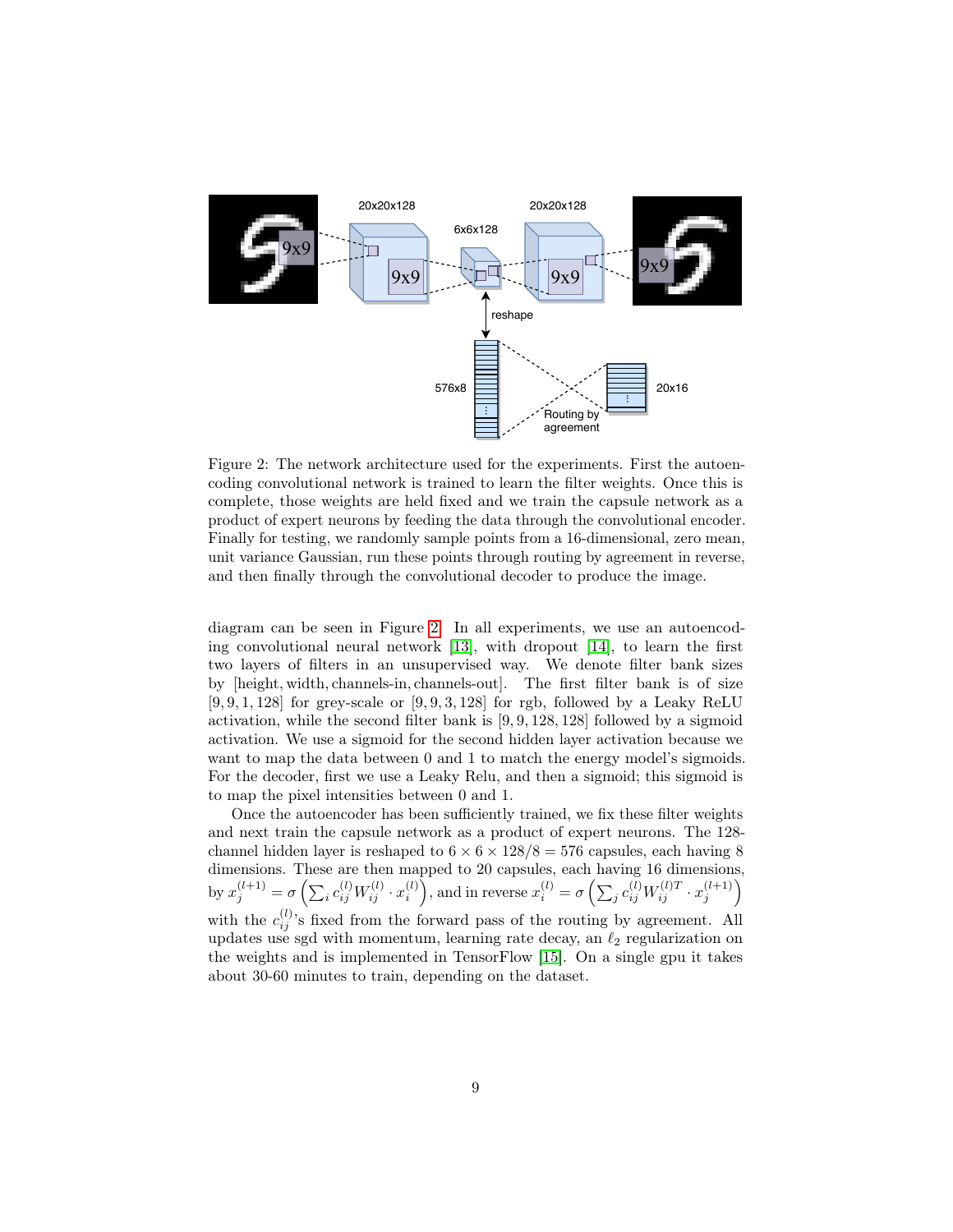<span id="page-8-0"></span>

Figure 2: The network architecture used for the experiments. First the autoencoding convolutional network is trained to learn the filter weights. Once this is complete, those weights are held fixed and we train the capsule network as a product of expert neurons by feeding the data through the convolutional encoder. Finally for testing, we randomly sample points from a 16-dimensional, zero mean, unit variance Gaussian, run these points through routing by agreement in reverse, and then finally through the convolutional decoder to produce the image.

diagram can be seen in Figure [2.](#page-8-0) In all experiments, we use an autoencoding convolutional neural network [\[13\]](#page-11-12), with dropout [\[14\]](#page-12-0), to learn the first two layers of filters in an unsupervised way. We denote filter bank sizes by [height, width, channels-in, channels-out]. The first filter bank is of size  $[9, 9, 1, 128]$  for grey-scale or  $[9, 9, 3, 128]$  for rgb, followed by a Leaky ReLU activation, while the second filter bank is  $[9, 9, 128, 128]$  followed by a sigmoid activation. We use a sigmoid for the second hidden layer activation because we want to map the data between 0 and 1 to match the energy model's sigmoids. For the decoder, first we use a Leaky Relu, and then a sigmoid; this sigmoid is to map the pixel intensities between 0 and 1.

Once the autoencoder has been sufficiently trained, we fix these filter weights and next train the capsule network as a product of expert neurons. The 128 channel hidden layer is reshaped to  $6 \times 6 \times 128/8 = 576$  capsules, each having 8 dimensions. These are then mapped to 20 capsules, each having 16 dimensions, by  $x_j^{(l+1)} = \sigma\left(\sum_i c_{ij}^{(l)} W_{ij}^{(l)} \cdot x_i^{(l)}\right)$ , and in reverse  $x_i^{(l)} = \sigma\left(\sum_j c_{ij}^{(l)} W_{ij}^{(l)T} \cdot x_j^{(l+1)}\right)$ with the  $c_{ij}^{(l)}$ 's fixed from the forward pass of the routing by agreement. All updates use sgd with momentum, learning rate decay, an  $\ell_2$  regularization on the weights and is implemented in TensorFlow [\[15\]](#page-12-1). On a single gpu it takes about 30-60 minutes to train, depending on the dataset.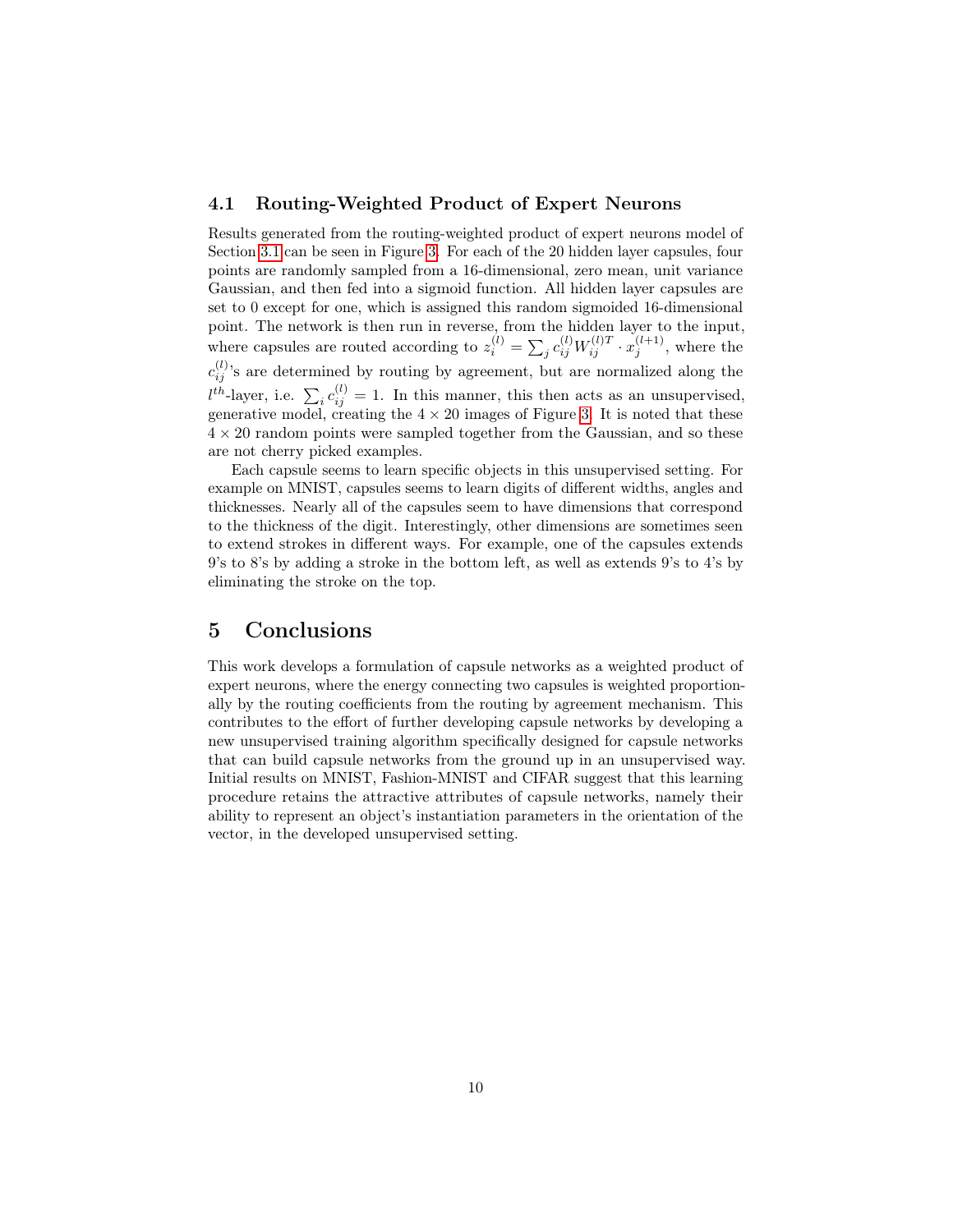#### 4.1 Routing-Weighted Product of Expert Neurons

Results generated from the routing-weighted product of expert neurons model of Section [3.1](#page-5-1) can be seen in Figure [3.](#page-10-0) For each of the 20 hidden layer capsules, four points are randomly sampled from a 16-dimensional, zero mean, unit variance Gaussian, and then fed into a sigmoid function. All hidden layer capsules are set to 0 except for one, which is assigned this random sigmoided 16-dimensional point. The network is then run in reverse, from the hidden layer to the input, where capsules are routed according to  $z_i^{(l)} = \sum_j c_{ij}^{(l)} W_{ij}^{(l)T} \cdot x_j^{(l+1)}$ , where the  $c_{ij}^{(l)}$ 's are determined by routing by agreement, but are normalized along the  $l^{th}$ -layer, i.e.  $\sum_i c_{ij}^{(l)} = 1$ . In this manner, this then acts as an unsupervised, generative model, creating the  $4 \times 20$  images of Figure [3.](#page-10-0) It is noted that these  $4 \times 20$  random points were sampled together from the Gaussian, and so these are not cherry picked examples.

Each capsule seems to learn specific objects in this unsupervised setting. For example on MNIST, capsules seems to learn digits of different widths, angles and thicknesses. Nearly all of the capsules seem to have dimensions that correspond to the thickness of the digit. Interestingly, other dimensions are sometimes seen to extend strokes in different ways. For example, one of the capsules extends 9's to 8's by adding a stroke in the bottom left, as well as extends 9's to 4's by eliminating the stroke on the top.

## 5 Conclusions

This work develops a formulation of capsule networks as a weighted product of expert neurons, where the energy connecting two capsules is weighted proportionally by the routing coefficients from the routing by agreement mechanism. This contributes to the effort of further developing capsule networks by developing a new unsupervised training algorithm specifically designed for capsule networks that can build capsule networks from the ground up in an unsupervised way. Initial results on MNIST, Fashion-MNIST and CIFAR suggest that this learning procedure retains the attractive attributes of capsule networks, namely their ability to represent an object's instantiation parameters in the orientation of the vector, in the developed unsupervised setting.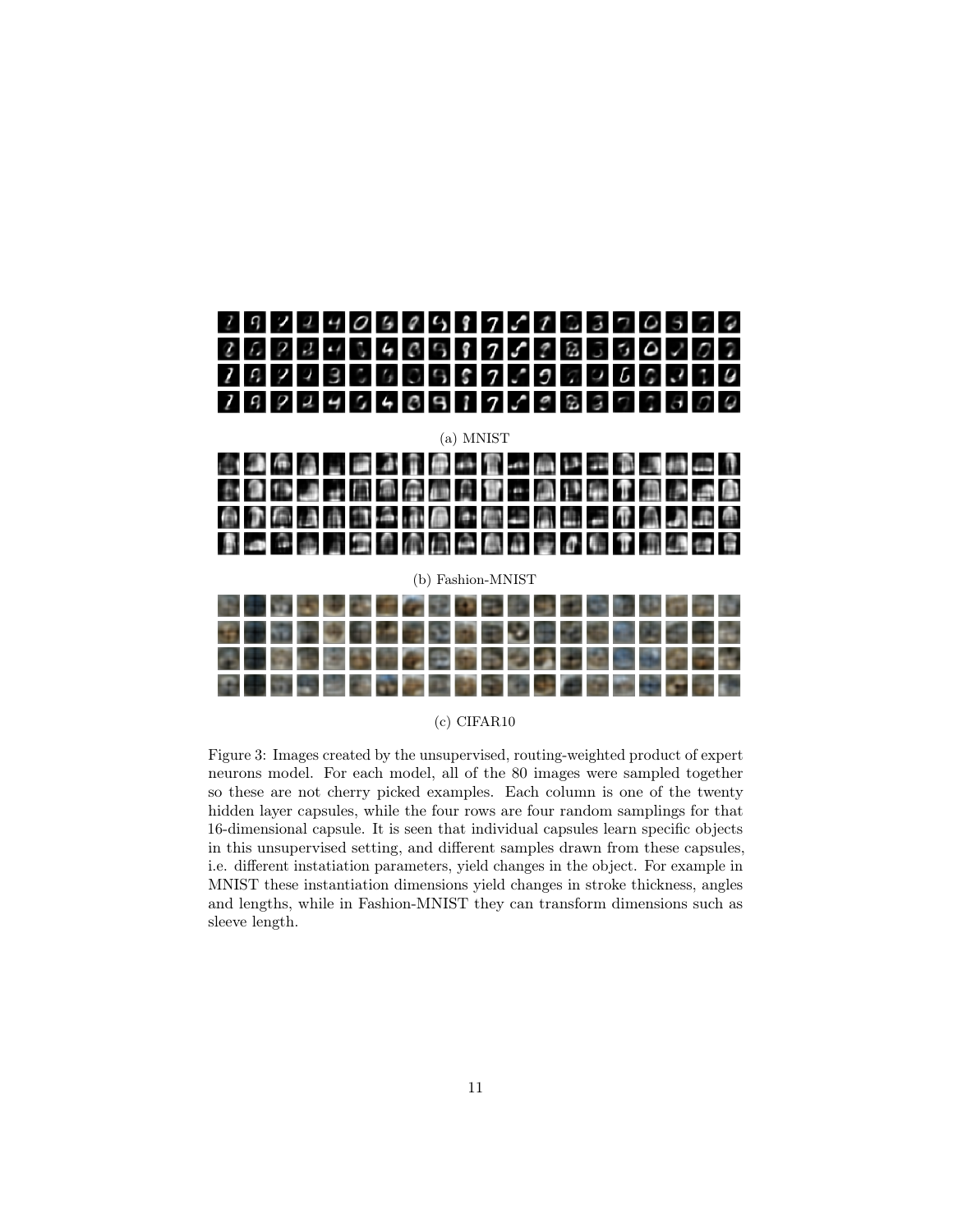<span id="page-10-0"></span>

#### (c) CIFAR10

Figure 3: Images created by the unsupervised, routing-weighted product of expert neurons model. For each model, all of the 80 images were sampled together so these are not cherry picked examples. Each column is one of the twenty hidden layer capsules, while the four rows are four random samplings for that 16-dimensional capsule. It is seen that individual capsules learn specific objects in this unsupervised setting, and different samples drawn from these capsules, i.e. different instatiation parameters, yield changes in the object. For example in MNIST these instantiation dimensions yield changes in stroke thickness, angles and lengths, while in Fashion-MNIST they can transform dimensions such as sleeve length.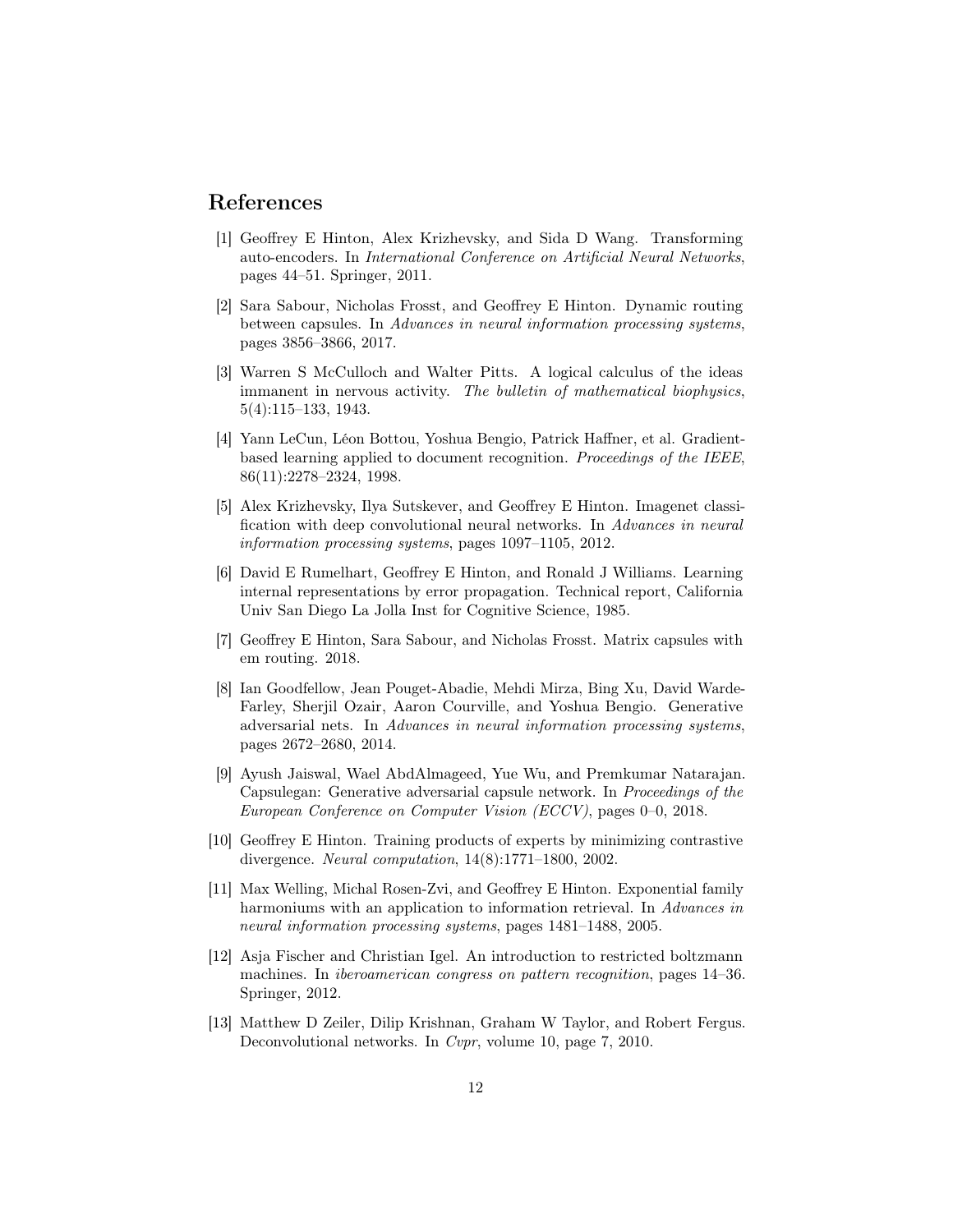## References

- <span id="page-11-0"></span>[1] Geoffrey E Hinton, Alex Krizhevsky, and Sida D Wang. Transforming auto-encoders. In International Conference on Artificial Neural Networks, pages 44–51. Springer, 2011.
- <span id="page-11-1"></span>[2] Sara Sabour, Nicholas Frosst, and Geoffrey E Hinton. Dynamic routing between capsules. In Advances in neural information processing systems, pages 3856–3866, 2017.
- <span id="page-11-2"></span>[3] Warren S McCulloch and Walter Pitts. A logical calculus of the ideas immanent in nervous activity. The bulletin of mathematical biophysics, 5(4):115–133, 1943.
- <span id="page-11-3"></span>[4] Yann LeCun, Léon Bottou, Yoshua Bengio, Patrick Haffner, et al. Gradientbased learning applied to document recognition. Proceedings of the IEEE, 86(11):2278–2324, 1998.
- <span id="page-11-4"></span>[5] Alex Krizhevsky, Ilya Sutskever, and Geoffrey E Hinton. Imagenet classification with deep convolutional neural networks. In Advances in neural information processing systems, pages 1097–1105, 2012.
- <span id="page-11-5"></span>[6] David E Rumelhart, Geoffrey E Hinton, and Ronald J Williams. Learning internal representations by error propagation. Technical report, California Univ San Diego La Jolla Inst for Cognitive Science, 1985.
- <span id="page-11-6"></span>[7] Geoffrey E Hinton, Sara Sabour, and Nicholas Frosst. Matrix capsules with em routing. 2018.
- <span id="page-11-7"></span>[8] Ian Goodfellow, Jean Pouget-Abadie, Mehdi Mirza, Bing Xu, David Warde-Farley, Sherjil Ozair, Aaron Courville, and Yoshua Bengio. Generative adversarial nets. In Advances in neural information processing systems, pages 2672–2680, 2014.
- <span id="page-11-8"></span>[9] Ayush Jaiswal, Wael AbdAlmageed, Yue Wu, and Premkumar Natarajan. Capsulegan: Generative adversarial capsule network. In Proceedings of the European Conference on Computer Vision (ECCV), pages 0–0, 2018.
- <span id="page-11-9"></span>[10] Geoffrey E Hinton. Training products of experts by minimizing contrastive divergence. Neural computation, 14(8):1771–1800, 2002.
- <span id="page-11-10"></span>[11] Max Welling, Michal Rosen-Zvi, and Geoffrey E Hinton. Exponential family harmoniums with an application to information retrieval. In Advances in neural information processing systems, pages 1481–1488, 2005.
- <span id="page-11-11"></span>[12] Asja Fischer and Christian Igel. An introduction to restricted boltzmann machines. In iberoamerican congress on pattern recognition, pages 14–36. Springer, 2012.
- <span id="page-11-12"></span>[13] Matthew D Zeiler, Dilip Krishnan, Graham W Taylor, and Robert Fergus. Deconvolutional networks. In Cvpr, volume 10, page 7, 2010.